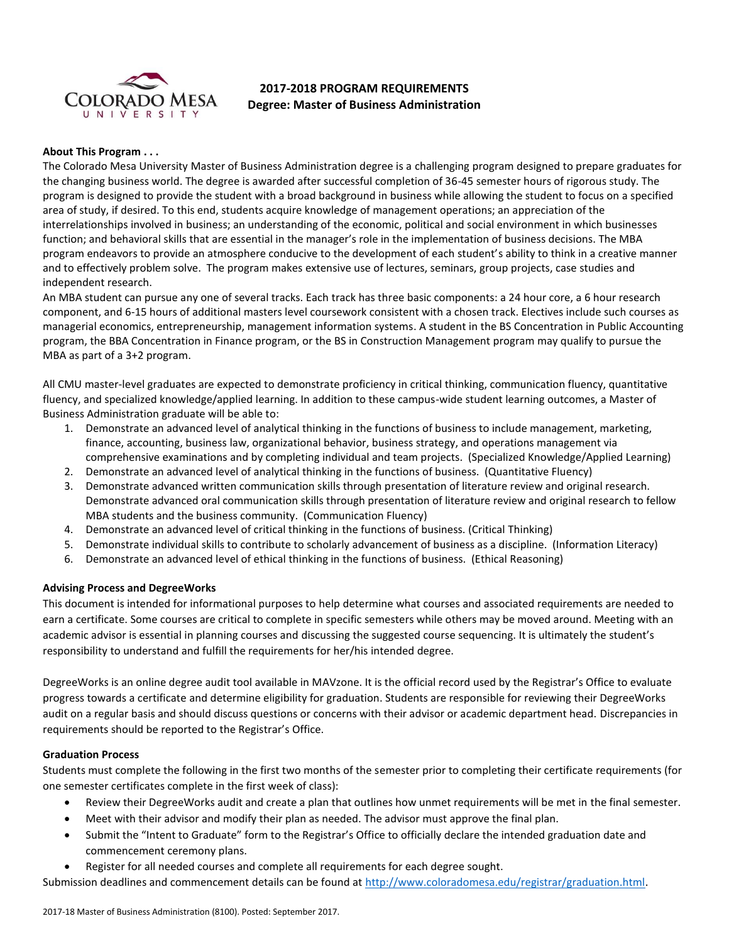

# **2017-2018 PROGRAM REQUIREMENTS Degree: Master of Business Administration**

## **About This Program . . .**

The Colorado Mesa University Master of Business Administration degree is a challenging program designed to prepare graduates for the changing business world. The degree is awarded after successful completion of 36-45 semester hours of rigorous study. The program is designed to provide the student with a broad background in business while allowing the student to focus on a specified area of study, if desired. To this end, students acquire knowledge of management operations; an appreciation of the interrelationships involved in business; an understanding of the economic, political and social environment in which businesses function; and behavioral skills that are essential in the manager's role in the implementation of business decisions. The MBA program endeavors to provide an atmosphere conducive to the development of each student's ability to think in a creative manner and to effectively problem solve. The program makes extensive use of lectures, seminars, group projects, case studies and independent research.

An MBA student can pursue any one of several tracks. Each track has three basic components: a 24 hour core, a 6 hour research component, and 6-15 hours of additional masters level coursework consistent with a chosen track. Electives include such courses as managerial economics, entrepreneurship, management information systems. A student in the BS Concentration in Public Accounting program, the BBA Concentration in Finance program, or the BS in Construction Management program may qualify to pursue the MBA as part of a 3+2 program.

All CMU master-level graduates are expected to demonstrate proficiency in critical thinking, communication fluency, quantitative fluency, and specialized knowledge/applied learning. In addition to these campus-wide student learning outcomes, a Master of Business Administration graduate will be able to:

- 1. Demonstrate an advanced level of analytical thinking in the functions of business to include management, marketing, finance, accounting, business law, organizational behavior, business strategy, and operations management via comprehensive examinations and by completing individual and team projects. (Specialized Knowledge/Applied Learning)
- 2. Demonstrate an advanced level of analytical thinking in the functions of business. (Quantitative Fluency)
- 3. Demonstrate advanced written communication skills through presentation of literature review and original research. Demonstrate advanced oral communication skills through presentation of literature review and original research to fellow MBA students and the business community. (Communication Fluency)
- 4. Demonstrate an advanced level of critical thinking in the functions of business. (Critical Thinking)
- 5. Demonstrate individual skills to contribute to scholarly advancement of business as a discipline. (Information Literacy)
- 6. Demonstrate an advanced level of ethical thinking in the functions of business. (Ethical Reasoning)

### **Advising Process and DegreeWorks**

This document is intended for informational purposes to help determine what courses and associated requirements are needed to earn a certificate. Some courses are critical to complete in specific semesters while others may be moved around. Meeting with an academic advisor is essential in planning courses and discussing the suggested course sequencing. It is ultimately the student's responsibility to understand and fulfill the requirements for her/his intended degree.

DegreeWorks is an online degree audit tool available in MAVzone. It is the official record used by the Registrar's Office to evaluate progress towards a certificate and determine eligibility for graduation. Students are responsible for reviewing their DegreeWorks audit on a regular basis and should discuss questions or concerns with their advisor or academic department head. Discrepancies in requirements should be reported to the Registrar's Office.

### **Graduation Process**

Students must complete the following in the first two months of the semester prior to completing their certificate requirements (for one semester certificates complete in the first week of class):

- Review their DegreeWorks audit and create a plan that outlines how unmet requirements will be met in the final semester.
- Meet with their advisor and modify their plan as needed. The advisor must approve the final plan.
- Submit the "Intent to Graduate" form to the Registrar's Office to officially declare the intended graduation date and commencement ceremony plans.
- Register for all needed courses and complete all requirements for each degree sought.

Submission deadlines and commencement details can be found at [http://www.coloradomesa.edu/registrar/graduation.html.](http://www.coloradomesa.edu/registrar/graduation.html)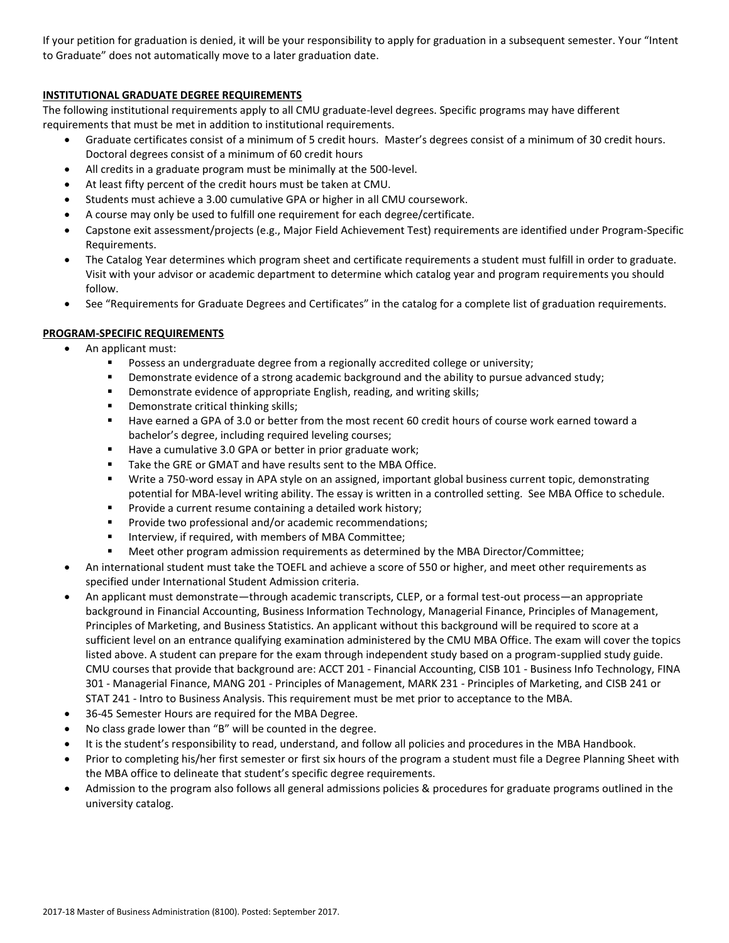If your petition for graduation is denied, it will be your responsibility to apply for graduation in a subsequent semester. Your "Intent to Graduate" does not automatically move to a later graduation date.

## **INSTITUTIONAL GRADUATE DEGREE REQUIREMENTS**

The following institutional requirements apply to all CMU graduate-level degrees. Specific programs may have different requirements that must be met in addition to institutional requirements.

- Graduate certificates consist of a minimum of 5 credit hours. Master's degrees consist of a minimum of 30 credit hours. Doctoral degrees consist of a minimum of 60 credit hours
- All credits in a graduate program must be minimally at the 500-level.
- At least fifty percent of the credit hours must be taken at CMU.
- Students must achieve a 3.00 cumulative GPA or higher in all CMU coursework.
- A course may only be used to fulfill one requirement for each degree/certificate.
- Capstone exit assessment/projects (e.g., Major Field Achievement Test) requirements are identified under Program-Specific Requirements.
- The Catalog Year determines which program sheet and certificate requirements a student must fulfill in order to graduate. Visit with your advisor or academic department to determine which catalog year and program requirements you should follow.
- See "Requirements for Graduate Degrees and Certificates" in the catalog for a complete list of graduation requirements.

## **PROGRAM-SPECIFIC REQUIREMENTS**

- An applicant must:
	- **POSSESS an undergraduate degree from a regionally accredited college or university;**
	- Demonstrate evidence of a strong academic background and the ability to pursue advanced study;
	- **•** Demonstrate evidence of appropriate English, reading, and writing skills;
	- Demonstrate critical thinking skills;
	- Have earned a GPA of 3.0 or better from the most recent 60 credit hours of course work earned toward a bachelor's degree, including required leveling courses;
	- Have a cumulative 3.0 GPA or better in prior graduate work;
	- Take the GRE or GMAT and have results sent to the MBA Office.
	- Write a 750-word essay in APA style on an assigned, important global business current topic, demonstrating potential for MBA-level writing ability. The essay is written in a controlled setting. See MBA Office to schedule.
	- **Provide a current resume containing a detailed work history;**
	- **Provide two professional and/or academic recommendations;**
	- **Interview, if required, with members of MBA Committee;**
	- Meet other program admission requirements as determined by the MBA Director/Committee;
- An international student must take the TOEFL and achieve a score of 550 or higher, and meet other requirements as specified under International Student Admission criteria.
- An applicant must demonstrate—through academic transcripts, CLEP, or a formal test-out process—an appropriate background in Financial Accounting, Business Information Technology, Managerial Finance, Principles of Management, Principles of Marketing, and Business Statistics. An applicant without this background will be required to score at a sufficient level on an entrance qualifying examination administered by the CMU MBA Office. The exam will cover the topics listed above. A student can prepare for the exam through independent study based on a program-supplied study guide. CMU courses that provide that background are: ACCT 201 - Financial Accounting, CISB 101 - Business Info Technology, FINA 301 - Managerial Finance, MANG 201 - Principles of Management, MARK 231 - Principles of Marketing, and CISB 241 or STAT 241 - Intro to Business Analysis. This requirement must be met prior to acceptance to the MBA.
- 36-45 Semester Hours are required for the MBA Degree.
- No class grade lower than "B" will be counted in the degree.
- It is the student's responsibility to read, understand, and follow all policies and procedures in the MBA Handbook.
- Prior to completing his/her first semester or first six hours of the program a student must file a Degree Planning Sheet with the MBA office to delineate that student's specific degree requirements.
- Admission to the program also follows all general admissions policies & procedures for graduate programs outlined in the university catalog.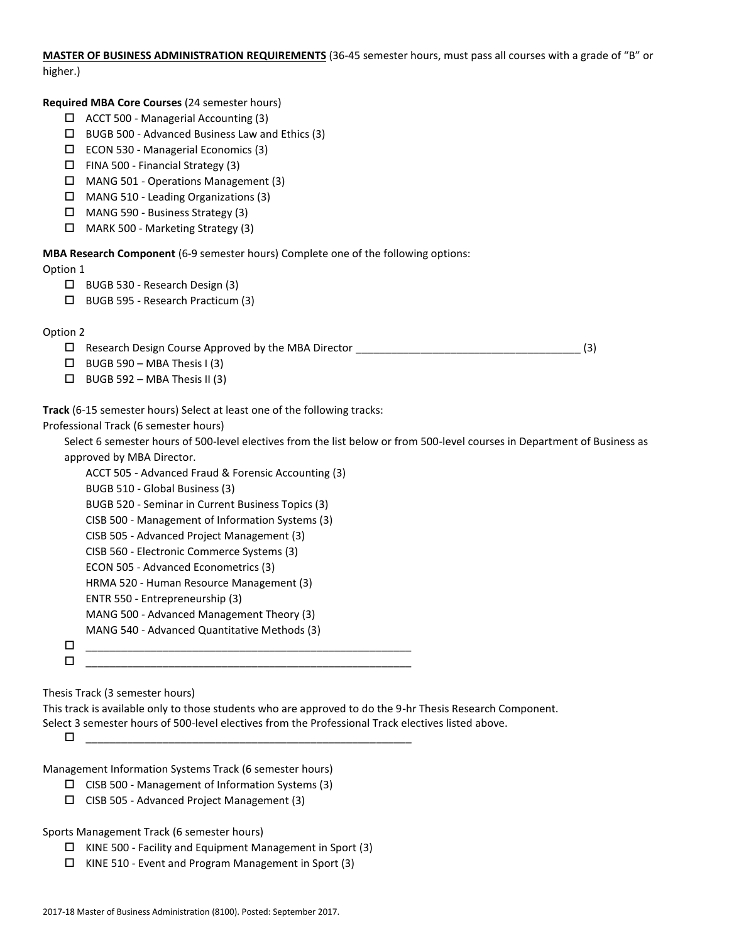**MASTER OF BUSINESS ADMINISTRATION REQUIREMENTS** (36-45 semester hours, must pass all courses with a grade of "B" or higher.)

**Required MBA Core Courses** (24 semester hours)

- ACCT 500 Managerial Accounting (3)
- $\Box$  BUGB 500 Advanced Business Law and Ethics (3)
- ECON 530 Managerial Economics (3)
- $\Box$  FINA 500 Financial Strategy (3)
- MANG 501 Operations Management (3)
- MANG 510 Leading Organizations (3)
- MANG 590 Business Strategy (3)
- MARK 500 Marketing Strategy (3)

**MBA Research Component** (6-9 semester hours) Complete one of the following options:

Option 1

- BUGB 530 Research Design (3)
- BUGB 595 Research Practicum (3)

## Option 2

Research Design Course Approved by the MBA Director \_\_\_\_\_\_\_\_\_\_\_\_\_\_\_\_\_\_\_\_\_\_\_\_\_\_\_\_\_\_\_\_\_\_\_\_\_\_ (3)

- $\Box$  BUGB 590 MBA Thesis I (3)
- $\Box$  BUGB 592 MBA Thesis II (3)
- **Track** (6-15 semester hours) Select at least one of the following tracks:

Professional Track (6 semester hours)

Select 6 semester hours of 500-level electives from the list below or from 500-level courses in Department of Business as approved by MBA Director.

ACCT 505 - Advanced Fraud & Forensic Accounting (3)

- BUGB 510 Global Business (3)
- BUGB 520 Seminar in Current Business Topics (3)
- CISB 500 Management of Information Systems (3)
- CISB 505 Advanced Project Management (3)
- CISB 560 Electronic Commerce Systems (3)
- ECON 505 Advanced Econometrics (3)
- HRMA 520 Human Resource Management (3)
- ENTR 550 Entrepreneurship (3)
- MANG 500 Advanced Management Theory (3)
- MANG 540 Advanced Quantitative Methods (3)
- \_\_\_\_\_\_\_\_\_\_\_\_\_\_\_\_\_\_\_\_\_\_\_\_\_\_\_\_\_\_\_\_\_\_\_\_\_\_\_\_\_\_\_\_\_\_\_\_\_\_\_\_\_\_\_

\_\_\_\_\_\_\_\_\_\_\_\_\_\_\_\_\_\_\_\_\_\_\_\_\_\_\_\_\_\_\_\_\_\_\_\_\_\_\_\_\_\_\_\_\_\_\_\_\_\_\_\_\_\_\_

Thesis Track (3 semester hours)

This track is available only to those students who are approved to do the 9-hr Thesis Research Component. Select 3 semester hours of 500-level electives from the Professional Track electives listed above.

\_\_\_\_\_\_\_\_\_\_\_\_\_\_\_\_\_\_\_\_\_\_\_\_\_\_\_\_\_\_\_\_\_\_\_\_\_\_\_\_\_\_\_\_\_\_\_\_\_\_\_\_\_\_\_

Management Information Systems Track (6 semester hours)

- $\square$  CISB 500 Management of Information Systems (3)
- CISB 505 Advanced Project Management (3)

Sports Management Track (6 semester hours)

- $\Box$  KINE 500 Facility and Equipment Management in Sport (3)
- KINE 510 Event and Program Management in Sport (3)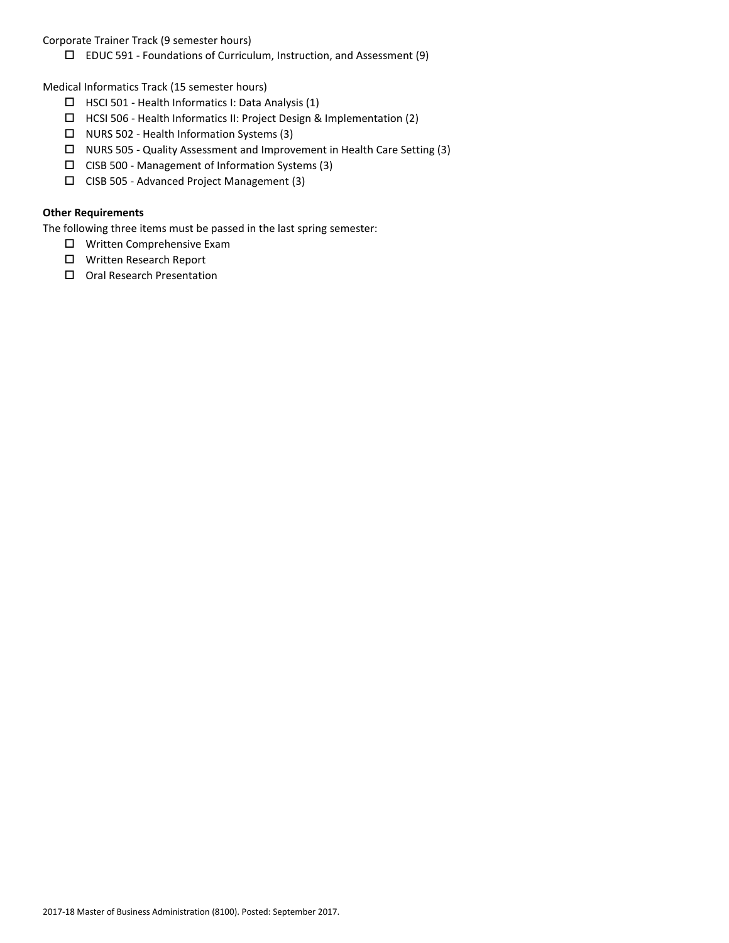Corporate Trainer Track (9 semester hours)

EDUC 591 - Foundations of Curriculum, Instruction, and Assessment (9)

Medical Informatics Track (15 semester hours)

- $\Box$  HSCI 501 Health Informatics I: Data Analysis (1)
- HCSI 506 Health Informatics II: Project Design & Implementation (2)
- $\Box$  NURS 502 Health Information Systems (3)
- NURS 505 Quality Assessment and Improvement in Health Care Setting (3)
- $\Box$  CISB 500 Management of Information Systems (3)
- CISB 505 Advanced Project Management (3)

# **Other Requirements**

The following three items must be passed in the last spring semester:

- □ Written Comprehensive Exam
- □ Written Research Report
- □ Oral Research Presentation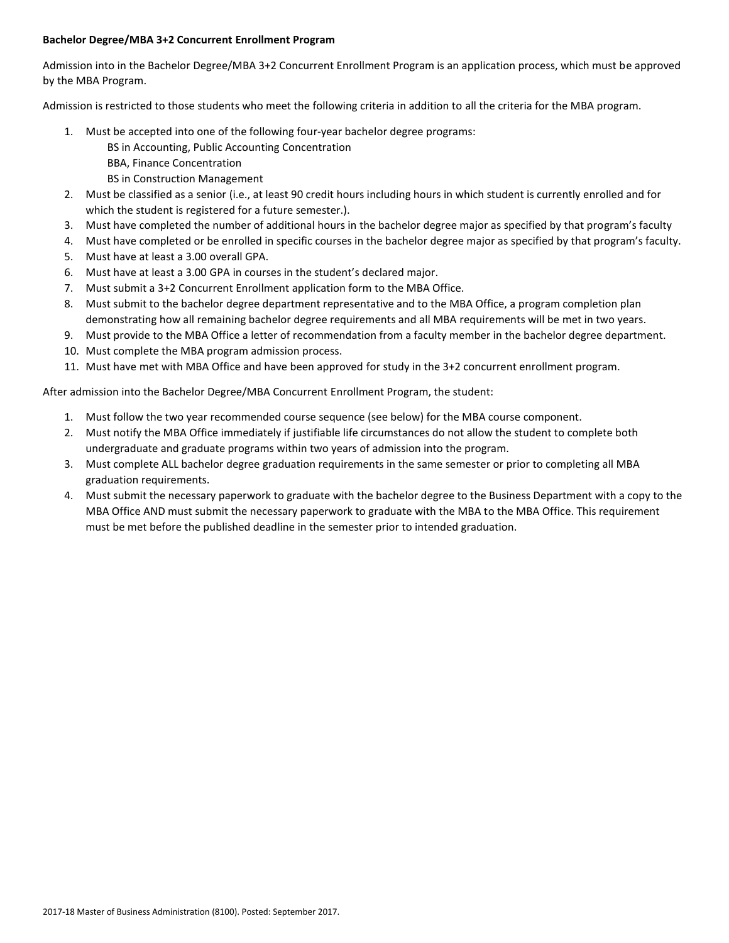## **Bachelor Degree/MBA 3+2 Concurrent Enrollment Program**

Admission into in the Bachelor Degree/MBA 3+2 Concurrent Enrollment Program is an application process, which must be approved by the MBA Program.

Admission is restricted to those students who meet the following criteria in addition to all the criteria for the MBA program.

- 1. Must be accepted into one of the following four-year bachelor degree programs:
	- BS in Accounting, Public Accounting Concentration
	- BBA, Finance Concentration
	- BS in Construction Management
- 2. Must be classified as a senior (i.e., at least 90 credit hours including hours in which student is currently enrolled and for which the student is registered for a future semester.).
- 3. Must have completed the number of additional hours in the bachelor degree major as specified by that program's faculty
- 4. Must have completed or be enrolled in specific courses in the bachelor degree major as specified by that program's faculty.
- 5. Must have at least a 3.00 overall GPA.
- 6. Must have at least a 3.00 GPA in courses in the student's declared major.
- 7. Must submit a 3+2 Concurrent Enrollment application form to the MBA Office.
- 8. Must submit to the bachelor degree department representative and to the MBA Office, a program completion plan demonstrating how all remaining bachelor degree requirements and all MBA requirements will be met in two years.
- 9. Must provide to the MBA Office a letter of recommendation from a faculty member in the bachelor degree department.
- 10. Must complete the MBA program admission process.
- 11. Must have met with MBA Office and have been approved for study in the 3+2 concurrent enrollment program.

After admission into the Bachelor Degree/MBA Concurrent Enrollment Program, the student:

- 1. Must follow the two year recommended course sequence (see below) for the MBA course component.
- 2. Must notify the MBA Office immediately if justifiable life circumstances do not allow the student to complete both undergraduate and graduate programs within two years of admission into the program.
- 3. Must complete ALL bachelor degree graduation requirements in the same semester or prior to completing all MBA graduation requirements.
- 4. Must submit the necessary paperwork to graduate with the bachelor degree to the Business Department with a copy to the MBA Office AND must submit the necessary paperwork to graduate with the MBA to the MBA Office. This requirement must be met before the published deadline in the semester prior to intended graduation.